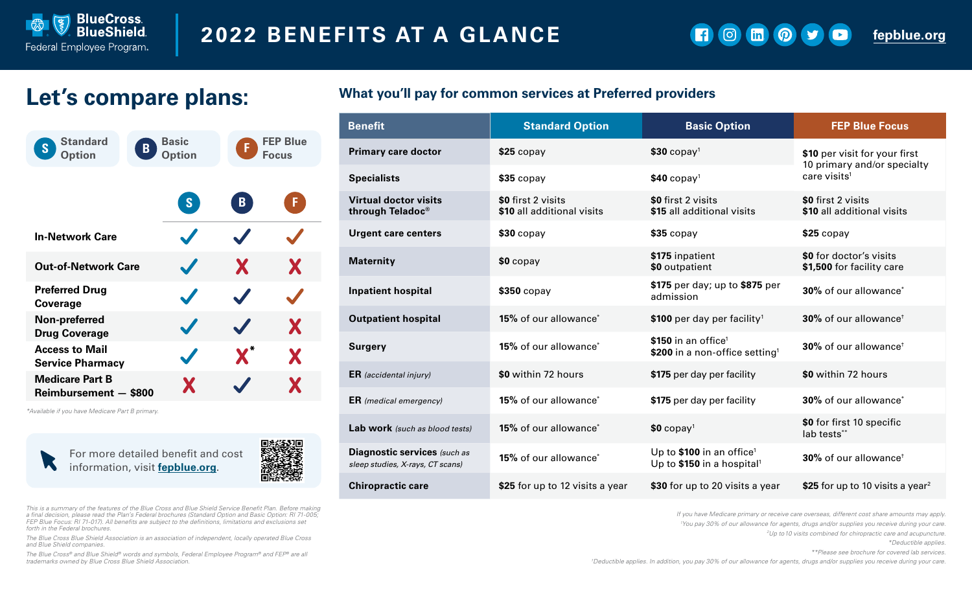

 $\Theta$  $\ln$   $\odot$   $\sim$  $\bullet$ G.

**[fepblue.org](https://www.fepblue.org/)**

# **Let's compare plans:**

| <b>Standard</b><br>$\mathbf B$<br>S<br><b>Option</b> | <b>Basic</b><br><b>Option</b> | <b>FEP Blue</b><br>Æ<br><b>Focus</b> |   |  |
|------------------------------------------------------|-------------------------------|--------------------------------------|---|--|
|                                                      | S                             | $\mathbf{B}$                         | F |  |
| <b>In-Network Care</b>                               | $\blacktriangledown$          |                                      |   |  |
| <b>Out-of-Network Care</b>                           | $\boldsymbol{J}$              | X                                    | X |  |
| <b>Preferred Drug</b><br><b>Coverage</b>             | $\boldsymbol{J}$              |                                      |   |  |
| Non-preferred<br><b>Drug Coverage</b>                | $\checkmark$                  |                                      | X |  |
| <b>Access to Mail</b><br><b>Service Pharmacy</b>     | $\checkmark$                  | $\textbf{X}^*$                       | X |  |
| <b>Medicare Part B</b><br>Reimbursement - \$800      | X                             |                                      | X |  |

*\*Available if you have Medicare Part B primary.*

For more detailed benefit and cost W information, visit **[fepblue.org](https://www.fepblue.org/)**.



*This is a summary of the features of the Blue Cross and Blue Shield Service Benefit Plan. Before making a final decision, please read the Plan's Federal brochures (Standard Option and Basic Option: RI 71-005; FEP Blue Focus: RI 71-017). All benefits are subject to the definitions, limitations and exclusions set forth in the Federal brochures.*

*The Blue Cross Blue Shield Association is an association of independent, locally operated Blue Cross and Blue Shield companies.*

*The Blue Cross® and Blue Shield® words and symbols, Federal Employee Program® and FEP® are all trademarks owned by Blue Cross Blue Shield Association.*

#### **What you'll pay for common services at Preferred providers**

| <b>Benefit</b>                                                   | <b>Standard Option</b>                           | <b>Basic Option</b>                                                             | <b>FEP Blue Focus</b>                                        |  |
|------------------------------------------------------------------|--------------------------------------------------|---------------------------------------------------------------------------------|--------------------------------------------------------------|--|
| <b>Primary care doctor</b>                                       | $$25$ copay                                      | $$30$ copay <sup>1</sup>                                                        | \$10 per visit for your first<br>10 primary and/or specialty |  |
| <b>Specialists</b>                                               | $$35$ copay                                      | $$40$ copay <sup>1</sup>                                                        | care visits <sup>1</sup>                                     |  |
| <b>Virtual doctor visits</b><br>through Teladoc®                 | \$0 first 2 visits<br>\$10 all additional visits | \$0 first 2 visits<br>\$15 all additional visits                                | \$0 first 2 visits<br>\$10 all additional visits             |  |
| <b>Urgent care centers</b>                                       | $$30$ copay                                      | $$35$ copay                                                                     | $$25$ copay                                                  |  |
| <b>Maternity</b>                                                 | $$0$ copay                                       | \$175 inpatient<br>\$0 outpatient                                               | \$0 for doctor's visits<br>\$1,500 for facility care         |  |
| <b>Inpatient hospital</b>                                        | $$350$ copay                                     | \$175 per day; up to \$875 per<br>admission                                     | 30% of our allowance <sup>*</sup>                            |  |
| <b>Outpatient hospital</b>                                       | 15% of our allowance*                            | \$100 per day per facility <sup>1</sup>                                         | 30% of our allowance <sup>+</sup>                            |  |
| <b>Surgery</b>                                                   | <b>15%</b> of our allowance <sup>*</sup>         | \$150 in an office <sup>1</sup><br>\$200 in a non-office setting <sup>1</sup>   | 30% of our allowance <sup>+</sup>                            |  |
| <b>ER</b> (accidental injury)                                    | \$0 within 72 hours                              | \$175 per day per facility                                                      | \$0 within 72 hours                                          |  |
| <b>ER</b> (medical emergency)                                    | <b>15%</b> of our allowance <sup>*</sup>         | \$175 per day per facility                                                      | 30% of our allowance <sup>*</sup>                            |  |
| Lab work (such as blood tests)                                   | 15% of our allowance <sup>*</sup>                | $$0$ copay <sup>1</sup>                                                         | \$0 for first 10 specific<br>lab tests**                     |  |
| Diagnostic services (such as<br>sleep studies, X-rays, CT scans) | 15% of our allowance*                            | Up to \$100 in an office <sup>1</sup><br>Up to \$150 in a hospital <sup>1</sup> | 30% of our allowance <sup>+</sup>                            |  |
| <b>Chiropractic care</b>                                         | \$25 for up to 12 visits a year                  | \$30 for up to 20 visits a year                                                 | \$25 for up to 10 visits a year <sup>2</sup>                 |  |

*If you have Medicare primary or receive care overseas, different cost share amounts may apply.*

*1 You pay 30% of our allowance for agents, drugs and/or supplies you receive during your care.*

*2 Up to 10 visits combined for chiropractic care and acupuncture.* 

*\*Deductible applies.*

*\*\*Please see brochure for covered lab services.* 

*† Deductible applies. In addition, you pay 30% of our allowance for agents, drugs and/or supplies you receive during your care.*